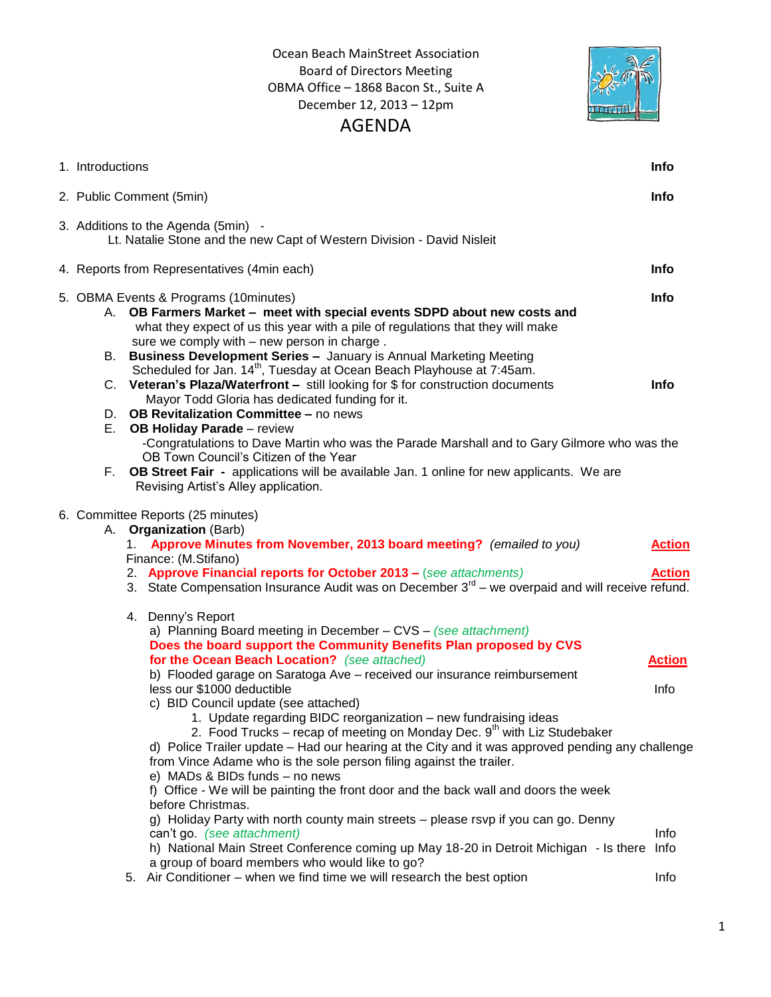Ocean Beach MainStreet Association Board of Directors Meeting OBMA Office – 1868 Bacon St., Suite A December 12, 2013 – 12pm AGENDA



| 1. Introductions<br><b>Info</b>                                                                                                                                                                                                                                                                                                                                                                                                                                                                                                                                                                                                                                                                                                                                                                                                                                                                                                                                                                                                                                                                              |                                |
|--------------------------------------------------------------------------------------------------------------------------------------------------------------------------------------------------------------------------------------------------------------------------------------------------------------------------------------------------------------------------------------------------------------------------------------------------------------------------------------------------------------------------------------------------------------------------------------------------------------------------------------------------------------------------------------------------------------------------------------------------------------------------------------------------------------------------------------------------------------------------------------------------------------------------------------------------------------------------------------------------------------------------------------------------------------------------------------------------------------|--------------------------------|
| 2. Public Comment (5min)<br><b>Info</b>                                                                                                                                                                                                                                                                                                                                                                                                                                                                                                                                                                                                                                                                                                                                                                                                                                                                                                                                                                                                                                                                      |                                |
| 3. Additions to the Agenda (5min) -<br>Lt. Natalie Stone and the new Capt of Western Division - David Nisleit                                                                                                                                                                                                                                                                                                                                                                                                                                                                                                                                                                                                                                                                                                                                                                                                                                                                                                                                                                                                |                                |
| 4. Reports from Representatives (4min each)<br>Info                                                                                                                                                                                                                                                                                                                                                                                                                                                                                                                                                                                                                                                                                                                                                                                                                                                                                                                                                                                                                                                          |                                |
| Info<br>5. OBMA Events & Programs (10minutes)<br>OB Farmers Market - meet with special events SDPD about new costs and<br>А.<br>what they expect of us this year with a pile of regulations that they will make<br>sure we comply with - new person in charge.<br><b>Business Development Series - January is Annual Marketing Meeting</b><br>В.<br>Scheduled for Jan. 14 <sup>th</sup> , Tuesday at Ocean Beach Playhouse at 7:45am.<br>C. Veteran's Plaza/Waterfront - still looking for \$ for construction documents<br>Info<br>Mayor Todd Gloria has dedicated funding for it.<br>OB Revitalization Committee - no news<br>D.<br>Е.<br><b>OB Holiday Parade</b> - review<br>-Congratulations to Dave Martin who was the Parade Marshall and to Gary Gilmore who was the<br>OB Town Council's Citizen of the Year<br>OB Street Fair - applications will be available Jan. 1 online for new applicants. We are<br>F.<br>Revising Artist's Alley application.                                                                                                                                              |                                |
| 6. Committee Reports (25 minutes)<br>A. Organization (Barb)<br>Approve Minutes from November, 2013 board meeting? (emailed to you)<br>1.<br>Finance: (M.Stifano)<br>2. Approve Financial reports for October 2013 - (see attachments)<br>3. State Compensation Insurance Audit was on December 3 <sup>rd</sup> – we overpaid and will receive refund.                                                                                                                                                                                                                                                                                                                                                                                                                                                                                                                                                                                                                                                                                                                                                        | <b>Action</b><br><b>Action</b> |
| 4. Denny's Report<br>a) Planning Board meeting in December - CVS - (see attachment)<br>Does the board support the Community Benefits Plan proposed by CVS<br>for the Ocean Beach Location? (see attached)<br>b) Flooded garage on Saratoga Ave - received our insurance reimbursement<br>less our \$1000 deductible<br>c) BID Council update (see attached)<br>1. Update regarding BIDC reorganization - new fundraising ideas<br>2. Food Trucks – recap of meeting on Monday Dec. $9th$ with Liz Studebaker<br>d) Police Trailer update – Had our hearing at the City and it was approved pending any challenge<br>from Vince Adame who is the sole person filing against the trailer.<br>e) MADs & BIDs funds - no news<br>f) Office - We will be painting the front door and the back wall and doors the week<br>before Christmas.<br>g) Holiday Party with north county main streets - please rsvp if you can go. Denny<br>can't go. (see attachment)<br>h) National Main Street Conference coming up May 18-20 in Detroit Michigan - Is there<br>Info<br>a group of board members who would like to go? | <b>Action</b><br>Info<br>Info  |
| 5. Air Conditioner - when we find time we will research the best option                                                                                                                                                                                                                                                                                                                                                                                                                                                                                                                                                                                                                                                                                                                                                                                                                                                                                                                                                                                                                                      | Info                           |